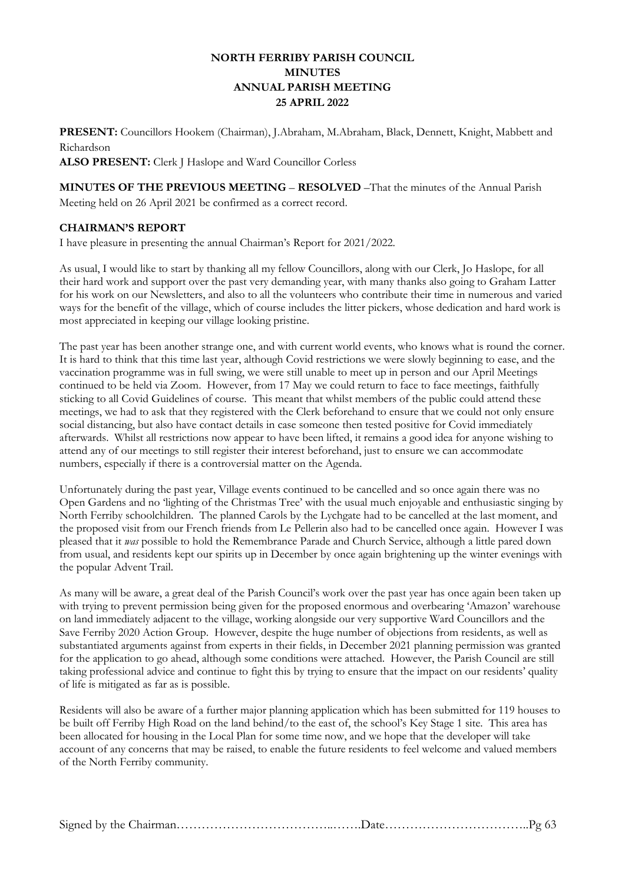## **NORTH FERRIBY PARISH COUNCIL MINUTES ANNUAL PARISH MEETING 25 APRIL 2022**

**PRESENT:** Councillors Hookem (Chairman), J.Abraham, M.Abraham, Black, Dennett, Knight, Mabbett and Richardson

**ALSO PRESENT:** Clerk J Haslope and Ward Councillor Corless

**MINUTES OF THE PREVIOUS MEETING** – **RESOLVED** –That the minutes of the Annual Parish Meeting held on 26 April 2021 be confirmed as a correct record.

## **CHAIRMAN'S REPORT**

I have pleasure in presenting the annual Chairman's Report for 2021/2022.

As usual, I would like to start by thanking all my fellow Councillors, along with our Clerk, Jo Haslope, for all their hard work and support over the past very demanding year, with many thanks also going to Graham Latter for his work on our Newsletters, and also to all the volunteers who contribute their time in numerous and varied ways for the benefit of the village, which of course includes the litter pickers, whose dedication and hard work is most appreciated in keeping our village looking pristine.

The past year has been another strange one, and with current world events, who knows what is round the corner. It is hard to think that this time last year, although Covid restrictions we were slowly beginning to ease, and the vaccination programme was in full swing, we were still unable to meet up in person and our April Meetings continued to be held via Zoom. However, from 17 May we could return to face to face meetings, faithfully sticking to all Covid Guidelines of course. This meant that whilst members of the public could attend these meetings, we had to ask that they registered with the Clerk beforehand to ensure that we could not only ensure social distancing, but also have contact details in case someone then tested positive for Covid immediately afterwards. Whilst all restrictions now appear to have been lifted, it remains a good idea for anyone wishing to attend any of our meetings to still register their interest beforehand, just to ensure we can accommodate numbers, especially if there is a controversial matter on the Agenda.

Unfortunately during the past year, Village events continued to be cancelled and so once again there was no Open Gardens and no 'lighting of the Christmas Tree' with the usual much enjoyable and enthusiastic singing by North Ferriby schoolchildren. The planned Carols by the Lychgate had to be cancelled at the last moment, and the proposed visit from our French friends from Le Pellerin also had to be cancelled once again. However I was pleased that it *was* possible to hold the Remembrance Parade and Church Service, although a little pared down from usual, and residents kept our spirits up in December by once again brightening up the winter evenings with the popular Advent Trail.

As many will be aware, a great deal of the Parish Council's work over the past year has once again been taken up with trying to prevent permission being given for the proposed enormous and overbearing 'Amazon' warehouse on land immediately adjacent to the village, working alongside our very supportive Ward Councillors and the Save Ferriby 2020 Action Group. However, despite the huge number of objections from residents, as well as substantiated arguments against from experts in their fields, in December 2021 planning permission was granted for the application to go ahead, although some conditions were attached. However, the Parish Council are still taking professional advice and continue to fight this by trying to ensure that the impact on our residents' quality of life is mitigated as far as is possible.

Residents will also be aware of a further major planning application which has been submitted for 119 houses to be built off Ferriby High Road on the land behind/to the east of, the school's Key Stage 1 site. This area has been allocated for housing in the Local Plan for some time now, and we hope that the developer will take account of any concerns that may be raised, to enable the future residents to feel welcome and valued members of the North Ferriby community.

|--|--|--|